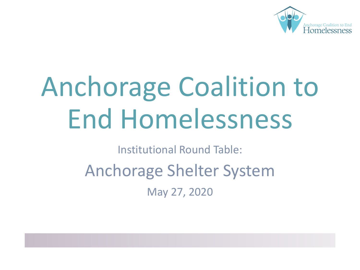

# Anchorage Coalition to End Homelessness

Institutional Round Table:

Anchorage Shelter System

May 27, 2020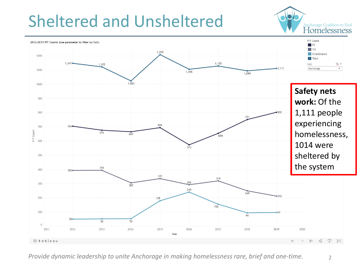### Sheltered and Unsheltered

Anchorage Coalition to End Homelessness



*Provide dynamic leadership to unite Anchorage in making homelessness rare, brief and one-time.* 2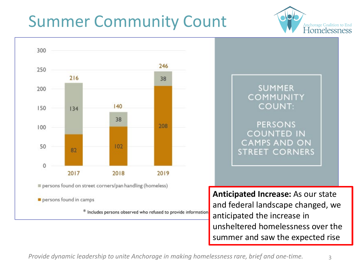## Summer Community Count





**Anticipated Increase:** As our state and federal landscape changed, we anticipated the increase in unsheltered homelessness over the summer and saw the expected rise

Anchorage Coalition to End<br>Homelessness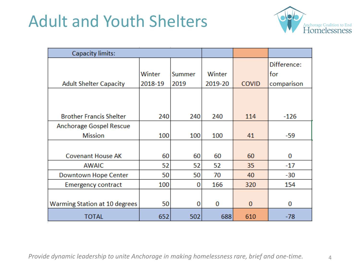#### Adult and Youth Shelters



| <b>Capacity limits:</b>                   |                   |                |                   |              |                                  |
|-------------------------------------------|-------------------|----------------|-------------------|--------------|----------------------------------|
| <b>Adult Shelter Capacity</b>             | Winter<br>2018-19 | Summer<br>2019 | Winter<br>2019-20 | <b>COVID</b> | Difference:<br>for<br>comparison |
|                                           |                   |                |                   |              |                                  |
| <b>Brother Francis Shelter</b>            | 240               | 240            | 240               | 114          | $-126$                           |
| Anchorage Gospel Rescue<br><b>Mission</b> | 100               | 100            | 100               | 41           | -59                              |
|                                           |                   |                |                   |              |                                  |
| <b>Covenant House AK</b>                  | 60                | 60             | 60                | 60           | 0                                |
| <b>AWAIC</b>                              | 52                | 52             | 52                | 35           | $-17$                            |
| Downtown Hope Center                      | 50                | 50             | 70                | 40           | $-30$                            |
| <b>Emergency contract</b>                 | 100               | 0              | 166               | 320          | 154                              |
| Warming Station at 10 degrees             | 50                | 0              | 0                 | $\mathbf{0}$ | 0                                |
| <b>TOTAL</b>                              | 652               | 502            | 688               | 610          | $-78$                            |

*Provide dynamic leadership to unite Anchorage in making homelessness rare, brief and one-time.* 4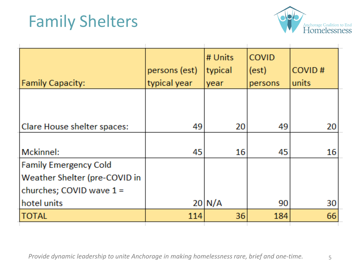#### Family Shelters



|                               | persons (est) | # Units<br>typical | <b>COVID</b><br>(est) | COVID# |
|-------------------------------|---------------|--------------------|-----------------------|--------|
| <b>Family Capacity:</b>       | typical year  | year               | persons               | units  |
|                               |               |                    |                       |        |
|                               |               |                    |                       |        |
| Clare House shelter spaces:   | 49            | 20                 | 49                    | 20     |
|                               |               |                    |                       |        |
| Mckinnel:                     | 45            | 16                 | 45                    | 16     |
| <b>Family Emergency Cold</b>  |               |                    |                       |        |
| Weather Shelter (pre-COVID in |               |                    |                       |        |
| churches; COVID wave $1 =$    |               |                    |                       |        |
| hotel units                   |               | $20 \mid N/A$      | 90                    | 30     |
| <b>TOTAL</b>                  | 114           | 36                 | 184                   | 66     |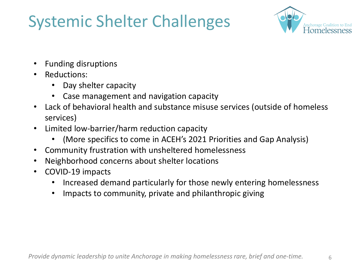## Systemic Shelter Challenges



- Funding disruptions
- Reductions:
	- Day shelter capacity
	- Case management and navigation capacity
- Lack of behavioral health and substance misuse services (outside of homeless services)
- Limited low-barrier/harm reduction capacity
	- (More specifics to come in ACEH's 2021 Priorities and Gap Analysis)
- Community frustration with unsheltered homelessness
- Neighborhood concerns about shelter locations
- COVID-19 impacts
	- Increased demand particularly for those newly entering homelessness
	- Impacts to community, private and philanthropic giving